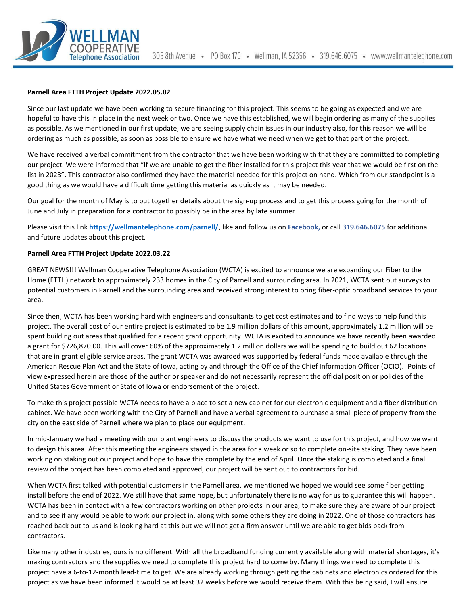

## **Parnell Area FTTH Project Update 2022.05.02**

Since our last update we have been working to secure financing for this project. This seems to be going as expected and we are hopeful to have this in place in the next week or two. Once we have this established, we will begin ordering as many of the supplies as possible. As we mentioned in our first update, we are seeing supply chain issues in our industry also, for this reason we will be ordering as much as possible, as soon as possible to ensure we have what we need when we get to that part of the project.

We have received a verbal commitment from the contractor that we have been working with that they are committed to completing our project. We were informed that "If we are unable to get the fiber installed for this project this year that we would be first on the list in 2023". This contractor also confirmed they have the material needed for this project on hand. Which from our standpoint is a good thing as we would have a difficult time getting this material as quickly as it may be needed.

Our goal for the month of May is to put together details about the sign-up process and to get this process going for the month of June and July in preparation for a contractor to possibly be in the area by late summer.

Please visit this link **<https://wellmantelephone.com/parnell/>**, like and follow us on **Facebook,** or call **319.646.6075** for additional and future updates about this project.

## **Parnell Area FTTH Project Update 2022.03.22**

GREAT NEWS!!! Wellman Cooperative Telephone Association (WCTA) is excited to announce we are expanding our Fiber to the Home (FTTH) network to approximately 233 homes in the City of Parnell and surrounding area. In 2021, WCTA sent out surveys to potential customers in Parnell and the surrounding area and received strong interest to bring fiber-optic broadband services to your area.

Since then, WCTA has been working hard with engineers and consultants to get cost estimates and to find ways to help fund this project. The overall cost of our entire project is estimated to be 1.9 million dollars of this amount, approximately 1.2 million will be spent building out areas that qualified for a recent grant opportunity. WCTA is excited to announce we have recently been awarded a grant for \$726,870.00. This will cover 60% of the approximately 1.2 million dollars we will be spending to build out 62 locations that are in grant eligible service areas. The grant WCTA was awarded was supported by federal funds made available through the American Rescue Plan Act and the State of Iowa, acting by and through the Office of the Chief Information Officer (OCIO). Points of view expressed herein are those of the author or speaker and do not necessarily represent the official position or policies of the United States Government or State of Iowa or endorsement of the project.

To make this project possible WCTA needs to have a place to set a new cabinet for our electronic equipment and a fiber distribution cabinet. We have been working with the City of Parnell and have a verbal agreement to purchase a small piece of property from the city on the east side of Parnell where we plan to place our equipment.

In mid-January we had a meeting with our plant engineers to discuss the products we want to use for this project, and how we want to design this area. After this meeting the engineers stayed in the area for a week or so to complete on-site staking. They have been working on staking out our project and hope to have this complete by the end of April. Once the staking is completed and a final review of the project has been completed and approved, our project will be sent out to contractors for bid.

When WCTA first talked with potential customers in the Parnell area, we mentioned we hoped we would see some fiber getting install before the end of 2022. We still have that same hope, but unfortunately there is no way for us to guarantee this will happen. WCTA has been in contact with a few contractors working on other projects in our area, to make sure they are aware of our project and to see if any would be able to work our project in, along with some others they are doing in 2022. One of those contractors has reached back out to us and is looking hard at this but we will not get a firm answer until we are able to get bids back from contractors.

Like many other industries, ours is no different. With all the broadband funding currently available along with material shortages, it's making contractors and the supplies we need to complete this project hard to come by. Many things we need to complete this project have a 6-to-12-month lead-time to get. We are already working through getting the cabinets and electronics ordered for this project as we have been informed it would be at least 32 weeks before we would receive them. With this being said, I will ensure